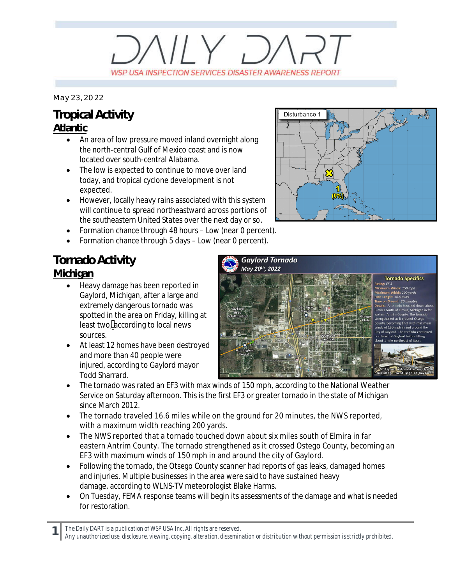# $V/Y$   $D$ WSP USA INSPECTION SERVICES DISASTER AWARENESS REPORT

*May 23, 2022*

### **Tropical Activity Atlantic**

- An area of low pressure moved inland overnight along the north-central Gulf of Mexico coast and is now located over south-central Alabama.
- The low is expected to continue to move over land today, and tropical cyclone development is not expected.
- · However, locally heavy rains associated with this system will continue to spread northeastward across portions of the southeastern United States over the next day or so.
- · Formation chance through 48 hours Low (near 0 percent).
- Formation chance through 5 days Low (near 0 percent).

### **Tornado Activity**

#### **Michigan**

- · Heavy damage has been reported in Gaylord, Michigan, after a large and extremely dangerous tornado was spotted in the area on Friday, killing at least two,according to local news sources.
- At least 12 homes have been destroyed and more than 40 people were injured, according to Gaylord mayor Todd Sharrard.



- · The tornado was rated an EF3 with max winds of 150 mph, according to the National Weather Service on Saturday afternoon. This is the first EF3 or greater tornado in the state of Michigan since March 2012.
- The tornado traveled 16.6 miles while on the ground for 20 minutes, the NWS reported, with a maximum width reaching 200 yards.
- · The NWS reported that a tornado touched down about six miles south of Elmira in far eastern Antrim County. The tornado strengthened as it crossed Ostego County, becoming an EF3 with maximum winds of 150 mph in and around the city of Gaylord.
- Following the tornado, the Otsego County scanner had reports of gas leaks, damaged homes and injuries. Multiple businesses in the area were said to have sustained heavy damage, according to WLNS-TV meteorologist Blake Harms.
- · On Tuesday, FEMA response teams will begin its assessments of the damage and what is needed for restoration.

**1** *The Daily DART is a publication of WSP USA Inc. All rights are reserved.*



*Any unauthorized use, disclosure, viewing, copying, alteration, dissemination or distribution without permission is strictly prohibited.*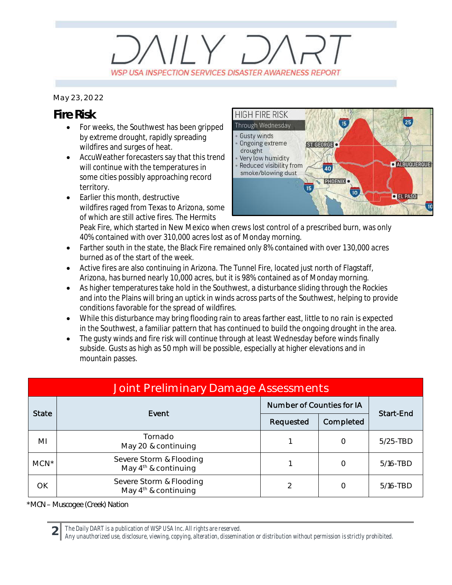## $11Y, 7$ WSP USA INSPECTION SERVICES DISASTER AWARENESS REPORT

#### *May 23, 2022*

### **Fire Risk**

- · For weeks, the Southwest has been gripped by extreme drought, rapidly spreading wildfires and surges of heat.
- · AccuWeather forecasters say that this trend will continue with the temperatures in some cities possibly approaching record territory.
- · Earlier this month, destructive wildfires raged from Texas to Arizona, some of which are still active fires. The Hermits



Peak Fire, which started in New Mexico when crews lost control of a prescribed burn, was only 40% contained with over 310,000 acres lost as of Monday morning.

- Farther south in the state, the Black Fire remained only 8% contained with over 130,000 acres burned as of the start of the week.
- · Active fires are also continuing in Arizona. The Tunnel Fire, located just north of Flagstaff, Arizona, has burned nearly 10,000 acres, but it is 98% contained as of Monday morning.
- · As higher temperatures take hold in the Southwest, a disturbance sliding through the Rockies and into the Plains will bring an uptick in winds across parts of the Southwest, helping to provide conditions favorable for the spread of wildfires.
- · While this disturbance may bring flooding rain to areas farther east, little to no rain is expected in the Southwest, a familiar pattern that has continued to build the ongoing drought in the area.
- The gusty winds and fire risk will continue through at least Wednesday before winds finally subside. Gusts as high as 50 mph will be possible, especially at higher elevations and in mountain passes.

| <b>Joint Preliminary Damage Assessments</b> |                                                   |                           |           |             |  |  |  |
|---------------------------------------------|---------------------------------------------------|---------------------------|-----------|-------------|--|--|--|
| <b>State</b>                                | Event                                             | Number of Counties for IA |           |             |  |  |  |
|                                             |                                                   | Requested                 | Completed | Start-End   |  |  |  |
| MI                                          | Tornado<br>May 20 & continuing                    |                           | O         | $5/25$ -TBD |  |  |  |
| $MCN^*$                                     | Severe Storm & Flooding<br>May $4th$ & continuing |                           | O         | 5/16-TBD    |  |  |  |
| OK                                          | Severe Storm & Flooding<br>May $4th$ & continuing | 2                         |           | 5/16-TBD    |  |  |  |

*\*MCN – Muscogee (Creek) Nation*

**2** *The Daily DART is a publication of WSP USA Inc. All rights are reserved.*

*Any unauthorized use, disclosure, viewing, copying, alteration, dissemination or distribution without permission is strictly prohibited.*